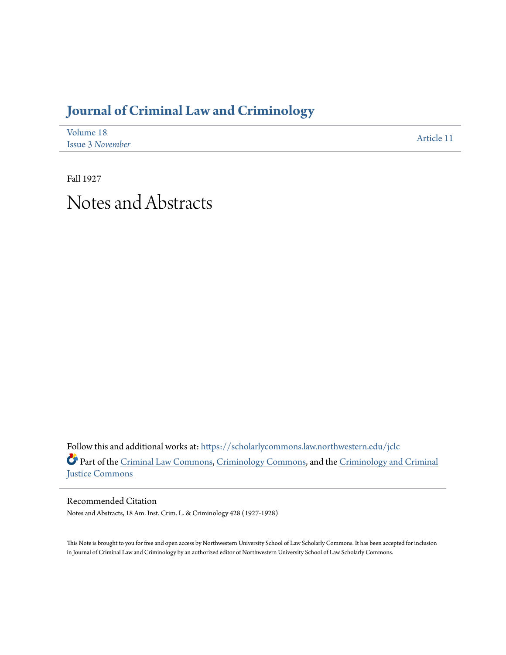## **[Journal of Criminal Law and Criminology](https://scholarlycommons.law.northwestern.edu/jclc?utm_source=scholarlycommons.law.northwestern.edu%2Fjclc%2Fvol18%2Fiss3%2F11&utm_medium=PDF&utm_campaign=PDFCoverPages)**

| Volume 18               | Article 11 |
|-------------------------|------------|
| <b>Issue 3 November</b> |            |

Fall 1927 Notes and Abstracts

Follow this and additional works at: [https://scholarlycommons.law.northwestern.edu/jclc](https://scholarlycommons.law.northwestern.edu/jclc?utm_source=scholarlycommons.law.northwestern.edu%2Fjclc%2Fvol18%2Fiss3%2F11&utm_medium=PDF&utm_campaign=PDFCoverPages) Part of the [Criminal Law Commons](http://network.bepress.com/hgg/discipline/912?utm_source=scholarlycommons.law.northwestern.edu%2Fjclc%2Fvol18%2Fiss3%2F11&utm_medium=PDF&utm_campaign=PDFCoverPages), [Criminology Commons](http://network.bepress.com/hgg/discipline/417?utm_source=scholarlycommons.law.northwestern.edu%2Fjclc%2Fvol18%2Fiss3%2F11&utm_medium=PDF&utm_campaign=PDFCoverPages), and the [Criminology and Criminal](http://network.bepress.com/hgg/discipline/367?utm_source=scholarlycommons.law.northwestern.edu%2Fjclc%2Fvol18%2Fiss3%2F11&utm_medium=PDF&utm_campaign=PDFCoverPages) [Justice Commons](http://network.bepress.com/hgg/discipline/367?utm_source=scholarlycommons.law.northwestern.edu%2Fjclc%2Fvol18%2Fiss3%2F11&utm_medium=PDF&utm_campaign=PDFCoverPages)

Recommended Citation Notes and Abstracts, 18 Am. Inst. Crim. L. & Criminology 428 (1927-1928)

This Note is brought to you for free and open access by Northwestern University School of Law Scholarly Commons. It has been accepted for inclusion in Journal of Criminal Law and Criminology by an authorized editor of Northwestern University School of Law Scholarly Commons.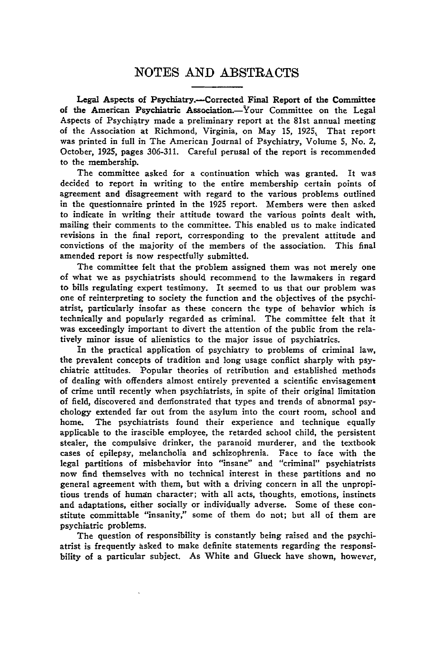## **NOTES AND** ABSTRACTS

Legal Aspects of Psychiatry.--Corrected Final Report of the Committee of the American Psychiatric Association.-Your Committee on the Legal Aspects of Psychiatry made a preliminary report at the 81st annual meeting of the Association at Richmond, Virginia, on May **15, 1925,** That report was printed in full in The American Journal of Psychiatry, Volume **5,** No. 2, October, **1925,** pages **306-311.** Careful perusal of the report is recommended to the membership.

The committee asked for a continuation which was granted. It was decided to report in writing to the entire membership certain points of agreement and disagreement with regard to the various problems outlined in the questionnaire printed in the **1925** report. Members were then asked to indicate in writing their attitude toward the various points dealt with, mailing their comments to the committee. This enabled us to make indicated revisions in the final report, corresponding to the prevalent attitude and convictions of the majority of the members of the association. This final amended report is now respectfully submitted.

The committee felt that the problem assigned them was not merely one of what we as psychiatrists should recommend to the lawmakers in regard to bills regulating expert testimony. It seemed to us that our problem was one of reinterpreting to society the function and the objectives of the psychiatrist, particularly insofar as these concern the type of behavior which is technically and popularly regarded as criminal. The committee felt that it was exceedingly important to divert the attention of the public from the relatively minor issue of alienistics to the major issue of psychiatrics.

In the practical application of psychiatry to problems of criminal law, the prevalent concepts of tradition and long usage conflict sharply with psychiatric attitudes. Popular theories of retribution and established methods of dealing with offenders almost entirely prevented a scientific envisagement of crime until recently when psychiatrists, in spite of their original limitation of field, discovered and denfonstrated that types and trends of abnormal psychology extended far out from the asylum into the court room, school and home. The psychiatrists found their experience and technique equally applicable to the irascible employee, the retarded school child, the persistent stealer, the compulsive drinker, the paranoid murderer, and the textbook cases of epilepsy, melancholia and schizophrenia. Face to face with the legal partitions of misbehavior into "insane" and "criminal" psychiatrists now find themselves with no technical interest in these partitions and no general agreement with them, but with a driving concern in all the unpropitious trends of human character; with all acts, thoughts, emotions, instincts and adaptations, either socially or individually adverse. Some of these constitute committable "insanity," some of them do not; but all of them are psychiatric problems.

The question of responsibility is constantly being raised and the psychiatrist is frequently asked to make definite statements regarding the responsibility of a particular subject. As White and Glueck have shown, however,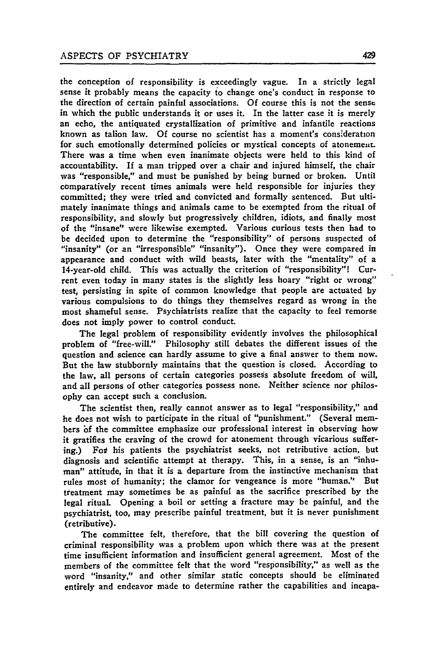the conception of responsibility is exceedingly vague. In a strictly legal sense it probably means the capacity to change one's conduct in response to the direction of certain painful associations. **Of** course this is not the sensc in which the public understands it or uses it. In the latter case it is merely an echo, the antiquated crystallization of primitive and infantile reactions known as talion law. **Of** course no scientist has a moment's consideration for such emotionally determined policies or mystical concepts of atonement. There was a time when even inanimate objects were held to this kind of accountability. If a man tripped over a chair and injured himself, the chair was "responsible," and must be punished **by** being burned or broken. Until comparatively recent times animals were held responsible for injuries they committed; they were tried and convicted and formally sentenced. But ultimately inanimate things and animals came to be exempted from the ritual of responsibility, and slowly but progressively children, idiots, and finally most of the "insane" were likewise exempted. Various curious tests then had to be decided upon to determine the "responsibility" of persons suspected of "insanity" (or an "irresponsible" "insanity"). Once they were compared in appearance and conduct with wild beasts, later with the "mentality" of a 14-year-old child. This was actually the criterion of "responsibility"! Current even today in many states is the slightly less hoary "right or wrong" test, persisting in spite of common knowledge that people are actuated **by** various compulsions to do things they themselves regard as wrong in the most shameful sense. Psychiatrists realize that the capacity to feel remorse does not imply power to control conduct.

The legal problem of responsibility evidently involves the philosophical problem of "free-will." Philosophy still debates the different issues of the question and science can hardly assume to give a final answer to them now. But the law stubbornly maintains that the question is closed. According to the law, all persons of certain categories possess absolute freedom of will, and all persons of other categories possess none. Neither science nor philosophy can accept such a conclusion.

The scientist then, really cannot answer as to legal "responsibility," and he does not wish to participate in the ritual of "punishment." (Several members **bf** the committee emphasize our professional interest in observing how it gratifies the craving of the crowd for atonement through vicarious suffering.) For his patients the psychiatrist seeks, not retributive action, but diagnosis and scientific attempt at therapy. This, in a sense, is an "inhuman" attitude, in that it is a departure from the instinctive mechanism that rules most of humanity; the clamor **for** vengeance is more "human." But treatment may sometimes be as painful as the sacrifice prescribed **by** the legal ritual. Opening a boil or setting a fracture may be painful, and the psychiatrist, too, may prescribe painful treatment, but it is never punishment (retributive).

The committee felt, therefore, that the bill covering the question of criminal responsibility was a problem upon which there was at the present time insufficient information and insufficient general agreement. Most of the members of the committee felt that the word "responsibility," as well as the word "insanity," and other similar static concepts should be eliminated entirely and endeavor made to determine rather the capabilities and incapa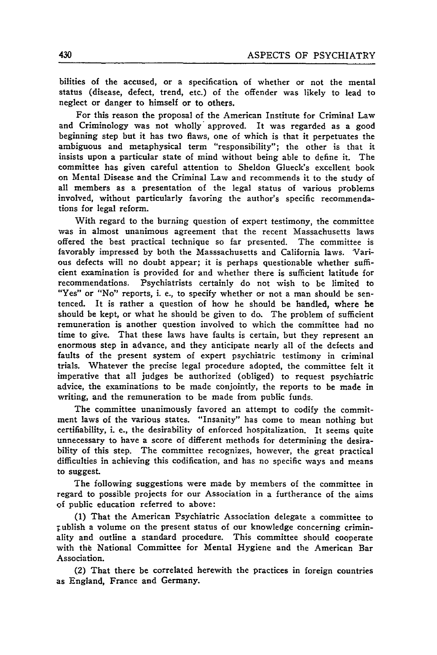bilities of the accused, or a specification of whether or not the mental status (disease, defect, trend, etc.) of the offender was likely to lead to neglect or danger to himself or to others.

For this reason the proposal of the American Institute for Criminal Law and Criminology was not wholly approved. It was regarded as a good beginning step but it has two flaws, one of which is that it perpetuates the ambiguous and metaphysical term "responsibility"; the other is that it insists upon a particular state of mind without being able to define it. The committee has given careful attention to Sheldon Glueck's excellent book on Mental Disease and the Criminal Law and recommends it to the study of all members as a presentation of the legal status of various problems involved, without particularly favoring the author's specific recommendations for legal reform.

With regard to the burning question of expert testimony, the committee was in almost unanimous agreement that the recent Massachusetts laws offered the best practical technique so far presented. The committee is favorably impressed **by** both the Masssachusetts and California laws. Various defects will no doubt appear; it is perhaps questionable whether sufficient examination is provided for and whether there is sufficient latitude for recommendations. Psychiatrists certainly do not wish to be limited to "Yes" or "No" reports, i. e., to specify whether or not a man should be sentenced. It is rather a question of how he should be handled, where he should be kept, or what he should be given to do. The problem of sufficient remuneration is another question involved to which the committee had no time to give. That these laws have faults is certain, but they represent an enormous step in advance, and they anticipate nearly all of the defects and faults of the present system of expert psychiatric testimony in criminal trials. Whatever the precise legal procedure adopted, the committee felt it imperative that all judges be authorized (obliged) to request psychiatric advice, the examinations to be made conjointly, the reports to be made in writing, and the remuneration to be made from public funds.

The committee unanimously favored an attempt to codify the commitment laws of the various states. "Insanity" has come to mean nothing but certifiability, i. e., the desirability of enforced hospitalization. It seems quite unnecessary to have a score of different methods for determining the desirability of this step. The committee recognizes, however, the great practical difficulties in achieving this codification, and has no specific ways and means to suggest.

The following suggestions were made **by** members of the committee in regard to possible projects for our Association in a furtherance of the aims **of** public education referred to above:

**(1)** That the American Psychiatric Association delegate a committee to .ublish a volume on the present status of our knowledge concerning criminality and outline a standard procedure. This committee should cooperate with **the** National Committee for Mental Hygiene and the American Bar Association.

(2) That there be correlated herewith the practices in foreign countries as England, France and Germany.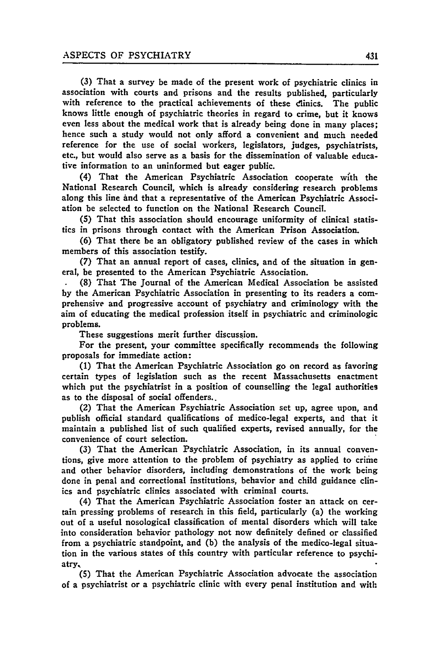**(3)** That a survey be made of the present work of psychiatric clinics in association with courts and prisons and the results published, particularly with reference to the practical achievements of these clinics. The public knows little enough of psychiatric theories in regard to crime, but it knows even less about the medical work that is already being done in many places; hence such a study would not only afford a convenient and much needed reference for the use of social workers, legislators, judges, psychiatrists, etc., but would also serve as a basis for the dissemination of valuable educative information to an uninformed but eager public.

(4) That the American Psychiatric Association cooperate with the National Research Council, which is already considering research problems along this line and that a representative of the American Psychiatric Association be selected to function on the National Research Council.

**(5)** That this association should encourage uniformity of clinical statistics in prisons through contact with the American Prison Association.

**(6)** That there be an obligatory published review of the cases in which members of this association testify.

**(7)** That an annual report of cases, clinics, and of the situation in general, be presented to the American Psychiatric Association.

**(8)** That The Journal of the American Medical Association be assisted **by** the American Psychiatric Association in presenting to its readers a comprehensive and progressive account of psychiatry and criminology with the aim of educating the medical profession itself in psychiatric and criminologic problems.

These suggestions merit further discussion.

For the present, your committee specifically recommends the following proposals for immediate action:

**(1)** That the American Psychiatric Association go on record as favoring certain types of legislation such as the recent Massachusetts enactment which put the psychiatrist in a position of counselling the legal authorities as to the disposal of social offenders..

(2) That the American Psychiatric Association set up, agree upon, and publish official standard qualifications of medico-legal experts, and that it maintain a published list of such qualified experts, revised annually, for the convenience of court selection.

**(3)** That the American Psychiatric Association, in its annual conventions, give more attention to the problem of psychiatry as applied to crime and other behavior disorders, including demonstrations of the work being done in penal and correctional institutions, behavior and child guidance clinics and psychiatric clinics associated with criminal courts.

(4) That the American Psychiatric Association foster an attack on certain pressing problems of research in this field, particularly (a) the working out of a useful nosological classification of mental disorders which will take into consideration behavior pathology not now definitely defined or classified from a psychiatric standpoint, and **(b)** the analysis of the medico-legal situation in the various states of this country with particular reference to psychiatry,

**(5)** That the American Psychiatric Association advocate the association of a psychiatrist or a psychiatric clinic with every penal institution and with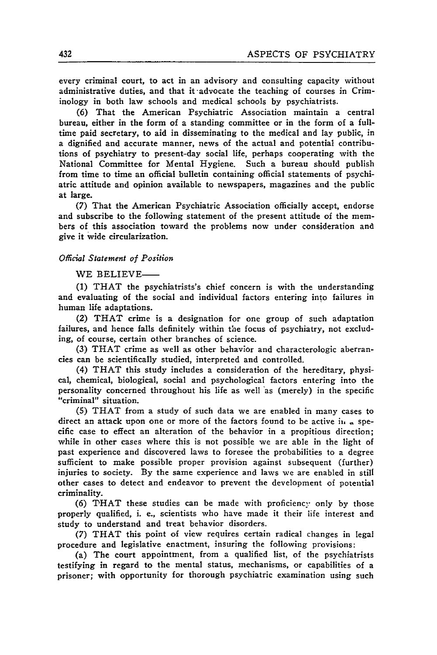every criminal court, to act in an advisory and consulting capacity without administrative duties, and that it-advocate the teaching of courses in Criminology in both law schools and medical schools by psychiatrists.

(6) That the American Psychiatric Association maintain a central bureau, either in the form of a standing committee or in the form of a fulltime paid secretary, to aid in disseminating to the medical and lay public, in a dignified and accurate manner, news of the actual and potential contributions of psychiatry to present-day social life, perhaps cooperating with the National Committee for Mental Hygiene. Such a bureau should publish from time to time an official bulletin containing official statements of psychiatric attitude and opinion available to newspapers, magazines and the public at large.

(7) That the American Psychiatric Association officially accept, endorse and subscribe to the following statement of the present attitude of the members of this association toward the problems now under consideration and give it wide circularization.

## *Ofiicial Statement of Position*

WE BELIEVE-

**(1)** THAT the psychiatrists's chief concern is with the understanding and evaluating of the social and individual factors entering into failures in human life adaptations.

(2) THAT crime is a designation for one group of such adaptation failures, and hence falls definitely within the focus of psychiatry, not excluding, of course, certain other branches of science.

(3) THAT crime as well as other behavior and characterologic aberrancies can be scientifically studied, interpreted and controlled.

(4) THAT this study includes a consideration of the hereditary, physical, chemical, biological, social and psychological factors entering into the personality concerned throughout his life as well 'as (merely) in the specific "criminal" situation.

**(5)** THAT from a study of such data we are enabled in many cases to direct an attack upon one or more of the factors found to be active ih **.** specific case to effect an alteration of the behavior in a propitious direction; while in other cases where this is not possible we are able in the light of past experience and discovered laws to foresee the probabilities to a degree sufficient to make possible proper provision against subsequent (further) injuries to society. **By** the same experience and laws we are enabled in still other cases to detect and endeavor to prevent the development of potential criminality.

(6) THAT these studies can be made with proficiency only **by** those properly qualified, i. e., scientists who have made it their life interest and study to understand and treat behavior disorders.

(7) THAT this point of view requires certain radical changes in legal procedure and legislative enactment, insuring the following provisions:

(a) The court appointment, from a qualified list, of the psychiatrists testifying in regard to the mental status, mechanisms, or capabilities of a prisoner; with opportunity for thorough psychiatric examination using such